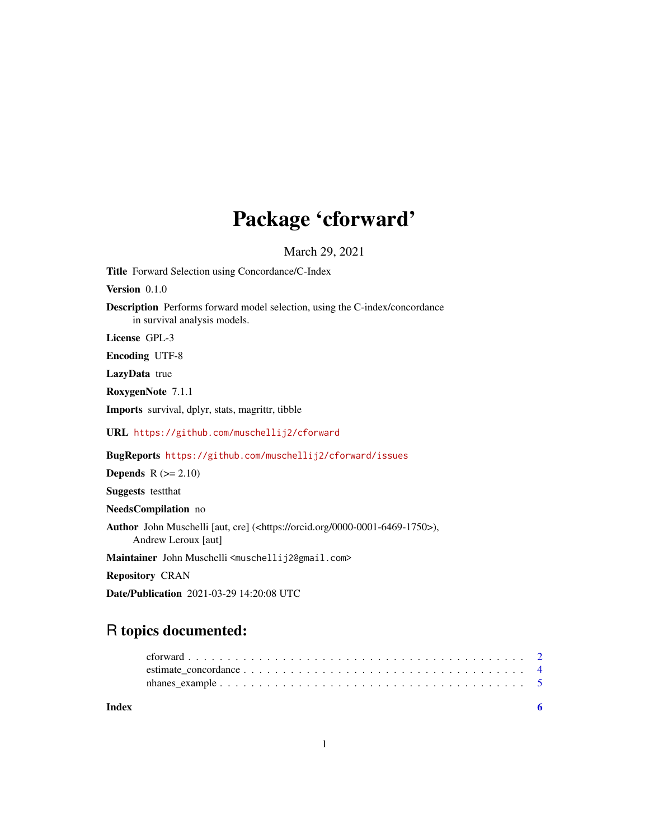## Package 'cforward'

March 29, 2021

<span id="page-0-0"></span>Title Forward Selection using Concordance/C-Index

Version 0.1.0

Description Performs forward model selection, using the C-index/concordance in survival analysis models.

License GPL-3

Encoding UTF-8

LazyData true

RoxygenNote 7.1.1

Imports survival, dplyr, stats, magrittr, tibble

URL <https://github.com/muschellij2/cforward>

BugReports <https://github.com/muschellij2/cforward/issues>

**Depends**  $R$  ( $>= 2.10$ )

Suggests testthat

NeedsCompilation no

Author John Muschelli [aut, cre] (<https://orcid.org/0000-0001-6469-1750>), Andrew Leroux [aut]

Maintainer John Muschelli <muschellij2@gmail.com>

Repository CRAN

Date/Publication 2021-03-29 14:20:08 UTC

### R topics documented:

| Index |  |
|-------|--|
|       |  |
|       |  |
|       |  |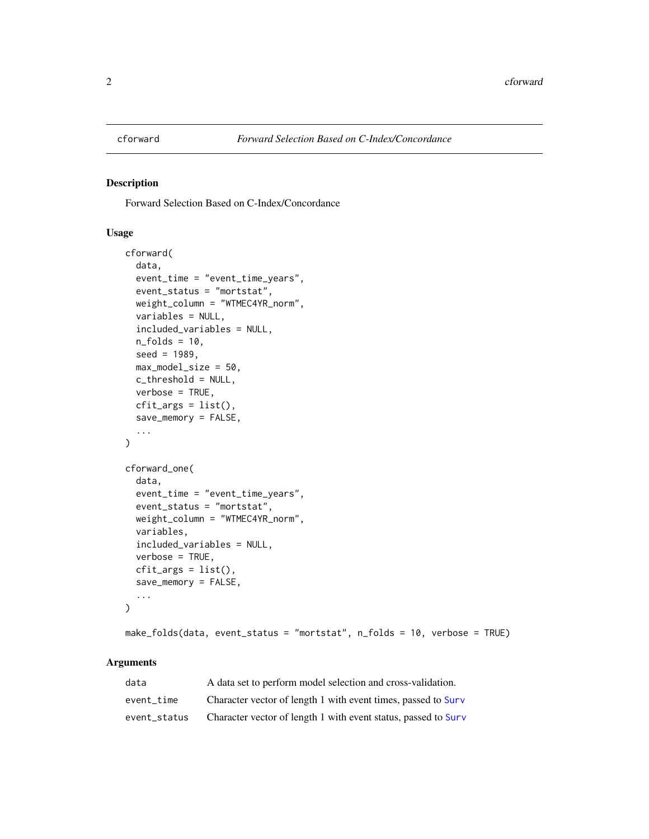<span id="page-1-0"></span>

#### Description

Forward Selection Based on C-Index/Concordance

#### Usage

```
cforward(
  data,
  event_time = "event_time_years",
  event_status = "mortstat",
 weight_column = "WTMEC4YR_norm",
  variables = NULL,
  included_variables = NULL,
  n_folds = 10,
  seed = 1989,max_model_size = 50,
  c_threshold = NULL,
  verbose = TRUE,
  cfit_{args} = list(),
  save_memory = FALSE,
  ...
)
cforward_one(
  data,
  event_time = "event_time_years",
  event_status = "mortstat",
 weight_column = "WTMEC4YR_norm",
  variables,
  included_variables = NULL,
  verbose = TRUE,
  cfit_{args} = list(),
  save_memory = FALSE,
  ...
\mathcal{L}
```

```
make_folds(data, event_status = "mortstat", n_folds = 10, verbose = TRUE)
```
#### Arguments

| data         | A data set to perform model selection and cross-validation.    |
|--------------|----------------------------------------------------------------|
| event time   | Character vector of length 1 with event times, passed to Surv  |
| event status | Character vector of length 1 with event status, passed to Surv |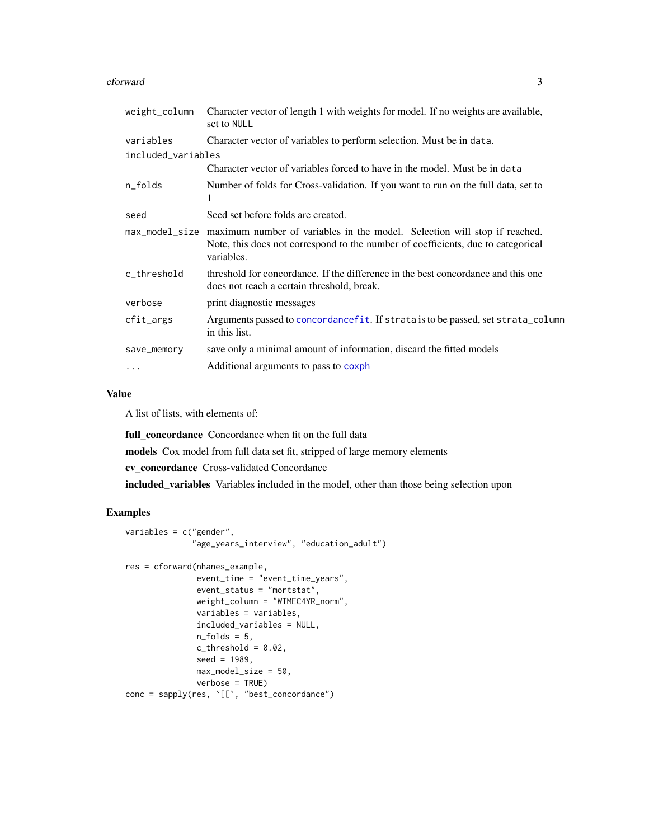#### <span id="page-2-0"></span>cforward 3

| Character vector of length 1 with weights for model. If no weights are available,<br>set to NULL                                                                                           |
|--------------------------------------------------------------------------------------------------------------------------------------------------------------------------------------------|
| Character vector of variables to perform selection. Must be in data.                                                                                                                       |
| included_variables                                                                                                                                                                         |
| Character vector of variables forced to have in the model. Must be in data                                                                                                                 |
| Number of folds for Cross-validation. If you want to run on the full data, set to<br>1                                                                                                     |
| Seed set before folds are created.                                                                                                                                                         |
| max_model_size maximum number of variables in the model. Selection will stop if reached.<br>Note, this does not correspond to the number of coefficients, due to categorical<br>variables. |
| threshold for concordance. If the difference in the best concordance and this one<br>does not reach a certain threshold, break.                                                            |
| print diagnostic messages                                                                                                                                                                  |
| Arguments passed to concordance fit. If strata is to be passed, set strata_column<br>in this list.                                                                                         |
| save only a minimal amount of information, discard the fitted models                                                                                                                       |
| Additional arguments to pass to coxph                                                                                                                                                      |
|                                                                                                                                                                                            |

#### Value

A list of lists, with elements of:

full\_concordance Concordance when fit on the full data

models Cox model from full data set fit, stripped of large memory elements

cv\_concordance Cross-validated Concordance

included\_variables Variables included in the model, other than those being selection upon

#### Examples

```
variables = c("gender",
              "age_years_interview", "education_adult")
res = cforward(nhanes_example,
               event_time = "event_time_years",
               event_status = "mortstat",
               weight_column = "WTMEC4YR_norm",
               variables = variables,
               included_variables = NULL,
               n_folds = 5,
               c_{\text{threshold}} = 0.02,
               seed = 1989,
               max_model_size = 50,
               verbose = TRUE)
conc = sapply(res, '[[', "best_concordance")
```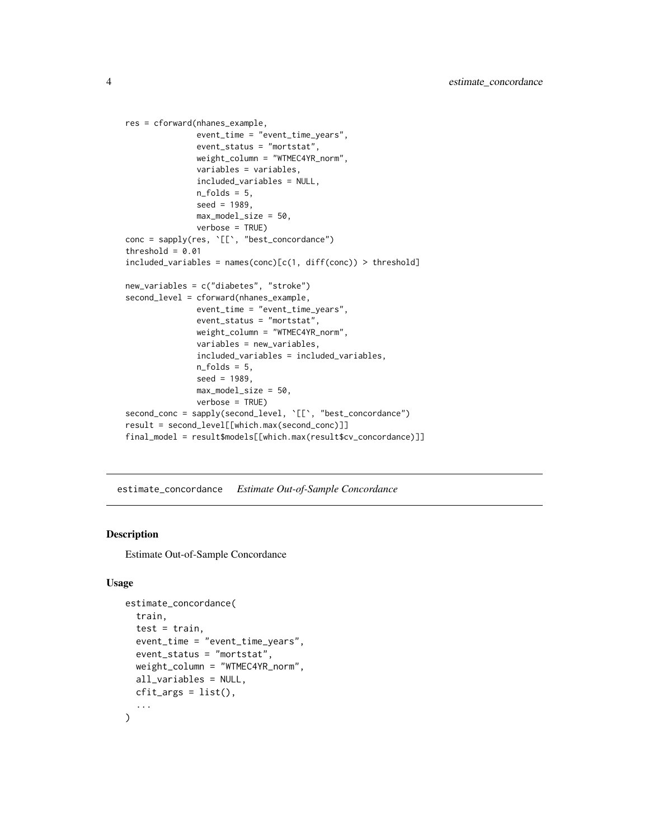```
res = cforward(nhanes_example,
               event_time = "event_time_years",
               event_status = "mortstat",
               weight_column = "WTMEC4YR_norm",
               variables = variables,
               included_variables = NULL,
               n_folds = 5,
               seed = 1989.
               max_model_size = 50,
               verbose = TRUE)
conc = sapply(res, '[[', "best_concordance")
threshold = 0.01included\_variables = names(conc)[c(1, diff(conc)) > threshold]new_variables = c("diabetes", "stroke")
second_level = cforward(nhanes_example,
               event_time = "event_time_years",
               event_status = "mortstat",
               weight_column = "WTMEC4YR_norm",
               variables = new_variables,
               included_variables = included_variables,
               n_folds = 5,
               seed = 1989,
               max_model_size = 50,
               verbose = TRUE)
second_conc = sapply(second_level, `[[`, "best_concordance")
result = second_level[[which.max(second_conc)]]
final_model = result$models[[which.max(result$cv_concordance)]]
```
estimate\_concordance *Estimate Out-of-Sample Concordance*

#### Description

Estimate Out-of-Sample Concordance

#### Usage

```
estimate_concordance(
  train,
  test = train,event_time = "event_time_years",
  event_status = "mortstat",
  weight_column = "WTMEC4YR_norm",
  all_variables = NULL,
  cfit_{args} = list(),
  ...
)
```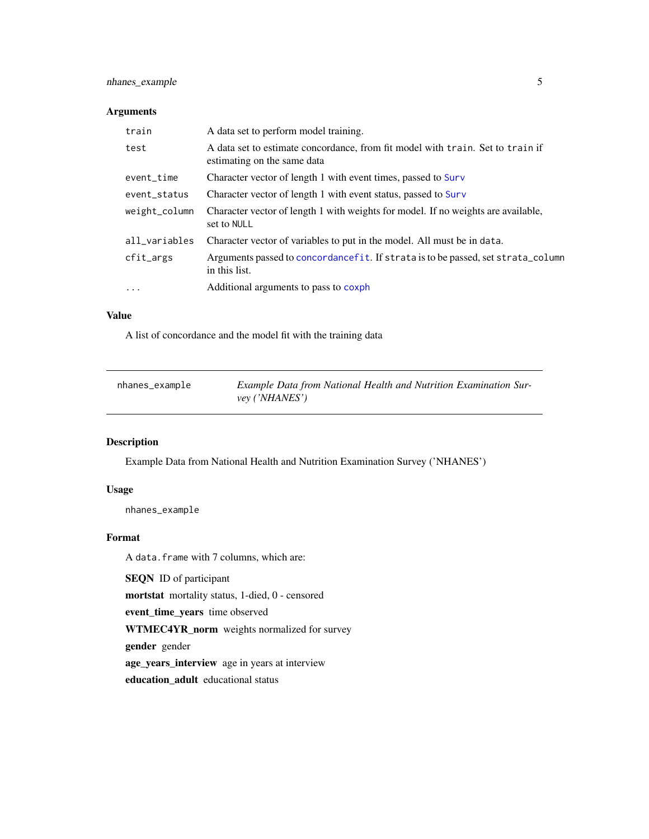#### <span id="page-4-0"></span>nhanes\_example 5

#### Arguments

| train         | A data set to perform model training.                                                                         |
|---------------|---------------------------------------------------------------------------------------------------------------|
| test          | A data set to estimate concordance, from fit model with train. Set to train if<br>estimating on the same data |
| event_time    | Character vector of length 1 with event times, passed to Surv                                                 |
| event_status  | Character vector of length 1 with event status, passed to Surv                                                |
| weight_column | Character vector of length 1 with weights for model. If no weights are available,<br>set to NULL              |
| all_variables | Character vector of variables to put in the model. All must be in data.                                       |
| cfit_args     | Arguments passed to concordance fit. If strata is to be passed, set strata_column<br>in this list.            |
| $\cdots$      | Additional arguments to pass to coxph                                                                         |

#### Value

A list of concordance and the model fit with the training data

| nhanes_example | Example Data from National Health and Nutrition Examination Sur- |
|----------------|------------------------------------------------------------------|
|                | vey ('NHANES')                                                   |

#### Description

Example Data from National Health and Nutrition Examination Survey ('NHANES')

#### Usage

nhanes\_example

#### Format

A data.frame with 7 columns, which are:

SEQN ID of participant

mortstat mortality status, 1-died, 0 - censored

event\_time\_years time observed

WTMEC4YR\_norm weights normalized for survey

gender gender

age\_years\_interview age in years at interview

education\_adult educational status